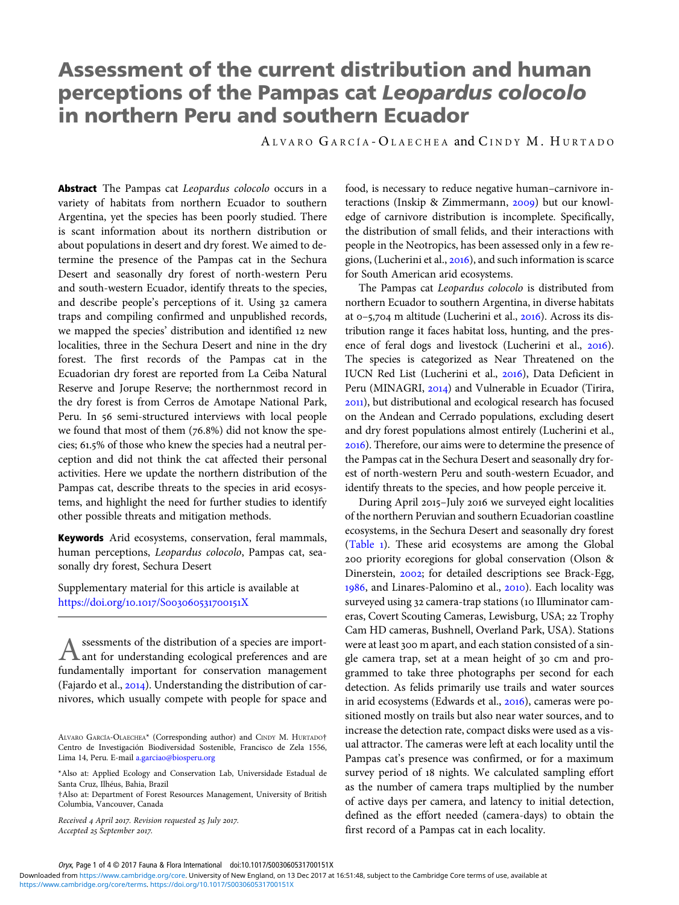# Assessment of the current distribution and human perceptions of the Pampas cat Leopardus colocolo in northern Peru and southern Ecuador

A LVARO G ARCÍA - O LAECHEA and C INDY M. H URTADO

Abstract The Pampas cat Leopardus colocolo occurs in a variety of habitats from northern Ecuador to southern Argentina, yet the species has been poorly studied. There is scant information about its northern distribution or about populations in desert and dry forest. We aimed to determine the presence of the Pampas cat in the Sechura Desert and seasonally dry forest of north-western Peru and south-western Ecuador, identify threats to the species, and describe people's perceptions of it. Using 32 camera traps and compiling confirmed and unpublished records, we mapped the species' distribution and identified new localities, three in the Sechura Desert and nine in the dry forest. The first records of the Pampas cat in the Ecuadorian dry forest are reported from La Ceiba Natural Reserve and Jorupe Reserve; the northernmost record in the dry forest is from Cerros de Amotape National Park, Peru. In 56 semi-structured interviews with local people we found that most of them  $(76.8%)$  did not know the species; 61.5% of those who knew the species had a neutral perception and did not think the cat affected their personal activities. Here we update the northern distribution of the Pampas cat, describe threats to the species in arid ecosystems, and highlight the need for further studies to identify other possible threats and mitigation methods.

Keywords Arid ecosystems, conservation, feral mammals, human perceptions, Leopardus colocolo, Pampas cat, seasonally dry forest, Sechura Desert

Supplementary material for this article is available at [https://](https://doi.org/10.1017/S003060531700151X)doi.org/10.1017/S003060531700151X

Assessments of the distribution of a species are import-<br>A ant for understanding ecological preferences and are ant for understanding ecological preferences and are fundamentally important for conservation management (Fajardo et al.,  $2014$ ). Understanding the distribution of carnivores, which usually compete with people for space and

Received 4 April 2017. Revision requested 25 July 2017. Accepted 25 September 2017.

food, is necessary to reduce negative human–carnivore interactions (Inskip & Zimmermann,  $2009$ ) but our knowledge of carnivore distribution is incomplete. Specifically, the distribution of small felids, and their interactions with people in the Neotropics, has been assessed only in a few regions, (Lucherini et al.,  $2016$ ), and such information is scarce for South American arid ecosystems.

The Pampas cat Leopardus colocolo is distributed from northern Ecuador to southern Argentina, in diverse habitats at  $0-5,704$  m altitude (Lucherini et al.,  $2016$ ). Across its distribution range it faces habitat loss, hunting, and the presence of feral dogs and livestock (Lucherini et al., 2016). The species is categorized as Near Threatened on the IUCN Red List (Lucherini et al., 2016), Data Deficient in Peru (MINAGRI, 2014) and Vulnerable in Ecuador (Tirira, ), but distributional and ecological research has focused on the Andean and Cerrado populations, excluding desert and dry forest populations almost entirely (Lucherini et al., ). Therefore, our aims were to determine the presence of the Pampas cat in the Sechura Desert and seasonally dry forest of north-western Peru and south-western Ecuador, and identify threats to the species, and how people perceive it.

During April 2015-July 2016 we surveyed eight localities of the northern Peruvian and southern Ecuadorian coastline ecosystems, in the Sechura Desert and seasonally dry forest [\(Table](#page-1-0) ). These arid ecosystems are among the Global priority ecoregions for global conservation (Olson & Dinerstein, 2002; for detailed descriptions see Brack-Egg, 1986, and Linares-Palomino et al., 2010). Each locality was surveyed using 32 camera-trap stations (10 Illuminator cameras, Covert Scouting Cameras, Lewisburg, USA; 22 Trophy Cam HD cameras, Bushnell, Overland Park, USA). Stations were at least 300 m apart, and each station consisted of a single camera trap, set at a mean height of 30 cm and programmed to take three photographs per second for each detection. As felids primarily use trails and water sources in arid ecosystems (Edwards et al., 2016), cameras were positioned mostly on trails but also near water sources, and to increase the detection rate, compact disks were used as a visual attractor. The cameras were left at each locality until the Pampas cat's presence was confirmed, or for a maximum survey period of 18 nights. We calculated sampling effort as the number of camera traps multiplied by the number of active days per camera, and latency to initial detection, defined as the effort needed (camera-days) to obtain the first record of a Pampas cat in each locality.

ALVARO GARCÍA-OLAECHEA\* (Corresponding author) and CINDY M. HURTADO† Centro de Investigación Biodiversidad Sostenible, Francisco de Zela 1556, Lima 14, Peru. E-mail [a.garciao@biosperu.org](mailto:a.garciao@biosperu.org)

<sup>\*</sup>Also at: Applied Ecology and Conservation Lab, Universidade Estadual de Santa Cruz, Ilhéus, Bahia, Brazil

<sup>†</sup>Also at: Department of Forest Resources Management, University of British Columbia, Vancouver, Canada

Oryx, Page 1 of 4 © 2017 Fauna & Flora International doi:10.1017/S003060531700151X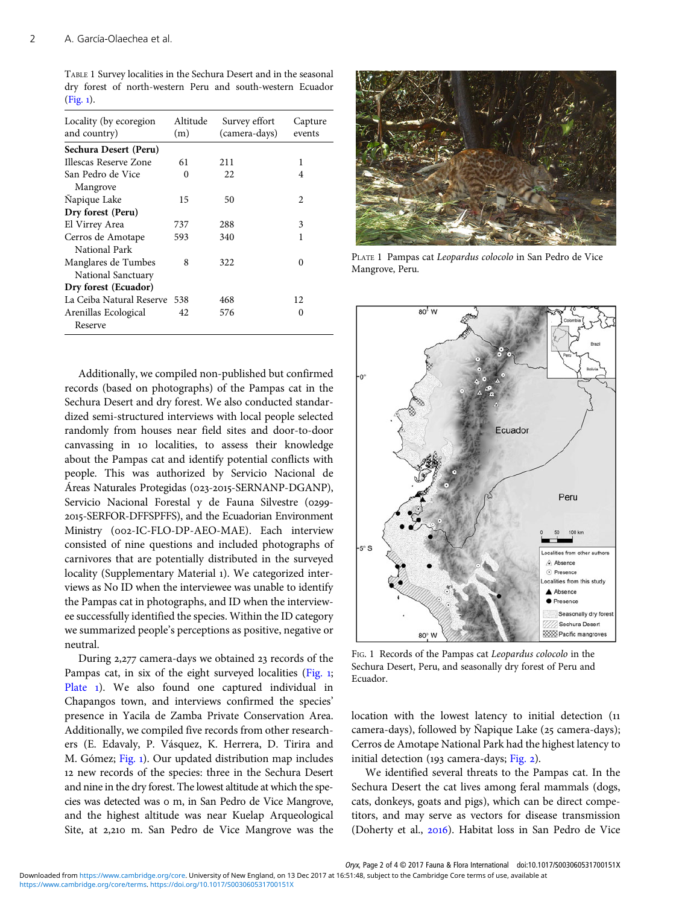<span id="page-1-0"></span>TABLE 1 Survey localities in the Sechura Desert and in the seasonal dry forest of north-western Peru and south-western Ecuador  $(Fig. 1)$ .

| Locality (by ecoregion<br>and country)    | Altitude<br>(m) | Survey effort<br>(camera-days) | Capture<br>events |
|-------------------------------------------|-----------------|--------------------------------|-------------------|
| Sechura Desert (Peru)                     |                 |                                |                   |
| Illescas Reserve Zone                     | 61              | 211                            | 1                 |
| San Pedro de Vice<br>Mangrove             | 0               | 22                             | 4                 |
| Napique Lake                              | 15              | 50                             | 2                 |
| Dry forest (Peru)                         |                 |                                |                   |
| El Virrey Area                            | 737             | 288                            | 3                 |
| Cerros de Amotape<br>National Park        | 593             | 340                            | 1                 |
| Manglares de Tumbes<br>National Sanctuary | 8               | 322                            | 0                 |
| Dry forest (Ecuador)                      |                 |                                |                   |
| La Ceiba Natural Reserve                  | 538             | 468                            | 12.               |
| Arenillas Ecological<br>Reserve           | 42              | 576                            | 0                 |

Additionally, we compiled non-published but confirmed records (based on photographs) of the Pampas cat in the Sechura Desert and dry forest. We also conducted standardized semi-structured interviews with local people selected randomly from houses near field sites and door-to-door canvassing in 10 localities, to assess their knowledge about the Pampas cat and identify potential conflicts with people. This was authorized by Servicio Nacional de Áreas Naturales Protegidas (023-2015-SERNANP-DGANP), Servicio Nacional Forestal y de Fauna Silvestre (0299--SERFOR-DFFSPFFS), and the Ecuadorian Environment Ministry (002-IC-FLO-DP-AEO-MAE). Each interview consisted of nine questions and included photographs of carnivores that are potentially distributed in the surveyed locality (Supplementary Material ). We categorized interviews as No ID when the interviewee was unable to identify the Pampas cat in photographs, and ID when the interviewee successfully identified the species. Within the ID category we summarized people's perceptions as positive, negative or neutral.

During 2,277 camera-days we obtained 23 records of the Pampas cat, in six of the eight surveyed localities (Fig. 1; Plate 1). We also found one captured individual in Chapangos town, and interviews confirmed the species' presence in Yacila de Zamba Private Conservation Area. Additionally, we compiled five records from other researchers (E. Edavaly, P. Vásquez, K. Herrera, D. Tirira and M. Gómez; Fig. ). Our updated distribution map includes 12 new records of the species: three in the Sechura Desert and nine in the dry forest. The lowest altitude at which the species was detected was o m, in San Pedro de Vice Mangrove, and the highest altitude was near Kuelap Arqueological Site, at 2,210 m. San Pedro de Vice Mangrove was the



PLATE 1 Pampas cat Leopardus colocolo in San Pedro de Vice Mangrove, Peru.



FIG. 1 Records of the Pampas cat Leopardus colocolo in the Sechura Desert, Peru, and seasonally dry forest of Peru and Ecuador.

location with the lowest latency to initial detection ( camera-days), followed by Ñapique Lake (25 camera-days); Cerros de Amotape National Park had the highest latency to initial detection ( $193$  camera-days; [Fig.](#page-2-0) 2).

We identified several threats to the Pampas cat. In the Sechura Desert the cat lives among feral mammals (dogs, cats, donkeys, goats and pigs), which can be direct competitors, and may serve as vectors for disease transmission (Doherty et al., 2016). Habitat loss in San Pedro de Vice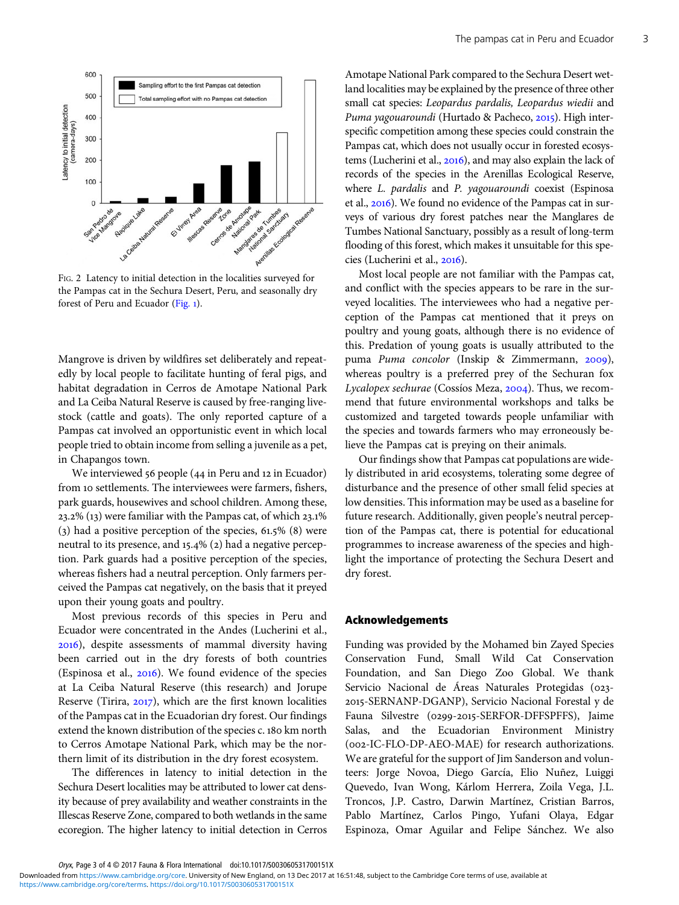<span id="page-2-0"></span>

FIG. 2 Latency to initial detection in the localities surveyed for the Pampas cat in the Sechura Desert, Peru, and seasonally dry forest of Peru and Ecuador ([Fig.](#page-1-0) ).

Mangrove is driven by wildfires set deliberately and repeatedly by local people to facilitate hunting of feral pigs, and habitat degradation in Cerros de Amotape National Park and La Ceiba Natural Reserve is caused by free-ranging livestock (cattle and goats). The only reported capture of a Pampas cat involved an opportunistic event in which local people tried to obtain income from selling a juvenile as a pet, in Chapangos town.

We interviewed 56 people (44 in Peru and 12 in Ecuador) from 10 settlements. The interviewees were farmers, fishers, park guards, housewives and school children. Among these,  $23.2\%$  (13) were familiar with the Pampas cat, of which  $23.1\%$ (3) had a positive perception of the species,  $61.5\%$  (8) were neutral to its presence, and 15.4% (2) had a negative perception. Park guards had a positive perception of the species, whereas fishers had a neutral perception. Only farmers perceived the Pampas cat negatively, on the basis that it preyed upon their young goats and poultry.

Most previous records of this species in Peru and Ecuador were concentrated in the Andes (Lucherini et al., ), despite assessments of mammal diversity having been carried out in the dry forests of both countries (Espinosa et al., 2016). We found evidence of the species at La Ceiba Natural Reserve (this research) and Jorupe Reserve (Tirira,  $2017$ ), which are the first known localities of the Pampas cat in the Ecuadorian dry forest. Our findings extend the known distribution of the species c. 180 km north to Cerros Amotape National Park, which may be the northern limit of its distribution in the dry forest ecosystem.

The differences in latency to initial detection in the Sechura Desert localities may be attributed to lower cat density because of prey availability and weather constraints in the Illescas Reserve Zone, compared to both wetlands in the same ecoregion. The higher latency to initial detection in Cerros Amotape National Park compared to the Sechura Desert wetland localities may be explained by the presence of three other small cat species: Leopardus pardalis, Leopardus wiedii and Puma yagouaroundi (Hurtado & Pacheco, 2015). High interspecific competition among these species could constrain the Pampas cat, which does not usually occur in forested ecosystems (Lucherini et al., 2016), and may also explain the lack of records of the species in the Arenillas Ecological Reserve, where L. pardalis and P. yagouaroundi coexist (Espinosa et al., 2016). We found no evidence of the Pampas cat in surveys of various dry forest patches near the Manglares de Tumbes National Sanctuary, possibly as a result of long-term flooding of this forest, which makes it unsuitable for this species (Lucherini et al., 2016).

Most local people are not familiar with the Pampas cat, and conflict with the species appears to be rare in the surveyed localities. The interviewees who had a negative perception of the Pampas cat mentioned that it preys on poultry and young goats, although there is no evidence of this. Predation of young goats is usually attributed to the puma Puma concolor (Inskip & Zimmermann, 2009), whereas poultry is a preferred prey of the Sechuran fox Lycalopex sechurae (Cossios Meza,  $2004$ ). Thus, we recommend that future environmental workshops and talks be customized and targeted towards people unfamiliar with the species and towards farmers who may erroneously believe the Pampas cat is preying on their animals.

Our findings show that Pampas cat populations are widely distributed in arid ecosystems, tolerating some degree of disturbance and the presence of other small felid species at low densities. This information may be used as a baseline for future research. Additionally, given people's neutral perception of the Pampas cat, there is potential for educational programmes to increase awareness of the species and highlight the importance of protecting the Sechura Desert and dry forest.

#### Acknowledgements

Funding was provided by the Mohamed bin Zayed Species Conservation Fund, Small Wild Cat Conservation Foundation, and San Diego Zoo Global. We thank Servicio Nacional de Áreas Naturales Protegidas (023--SERNANP-DGANP), Servicio Nacional Forestal y de Fauna Silvestre (0299-2015-SERFOR-DFFSPFFS), Jaime Salas, and the Ecuadorian Environment Ministry (002-IC-FLO-DP-AEO-MAE) for research authorizations. We are grateful for the support of Jim Sanderson and volunteers: Jorge Novoa, Diego García, Elio Nuñez, Luiggi Quevedo, Ivan Wong, Kárlom Herrera, Zoila Vega, J.L. Troncos, J.P. Castro, Darwin Martínez, Cristian Barros, Pablo Martínez, Carlos Pingo, Yufani Olaya, Edgar Espinoza, Omar Aguilar and Felipe Sánchez. We also

Oryx, Page 3 of 4 © 2017 Fauna & Flora International doi:10.1017/S003060531700151X

[https://www.cambridge.org/core/terms.](https://www.cambridge.org/core/terms) <https://doi.org/10.1017/S003060531700151X> Downloaded from [https://www.cambridge.org/core.](https://www.cambridge.org/core) University of New England, on 13 Dec 2017 at 16:51:48, subject to the Cambridge Core terms of use, available at